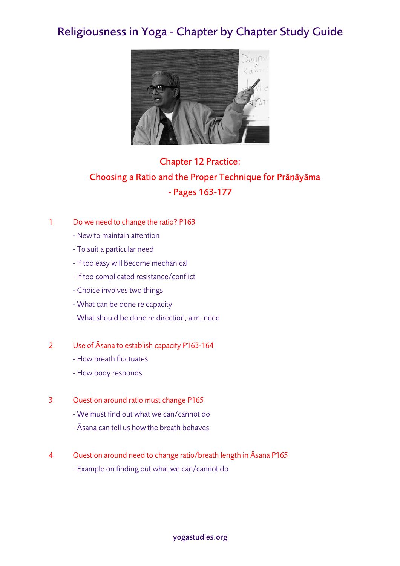## Religiousness in Yoga - Chapter by Chapter Study Guide



## Chapter 12 Practice: Choosing a Ratio and the Proper Technique for Prāṇāyāma - Pages 163-177

- 1. Do we need to change the ratio? P163
	- New to maintain attention
	- To suit a particular need
	- If too easy will become mechanical
	- If too complicated resistance/conflict
	- Choice involves two things
	- What can be done re capacity
	- What should be done re direction, aim, need
- 2. Use of Āsana to establish capacity P163-164
	- How breath fluctuates
	- How body responds
- 3. Question around ratio must change P165
	- We must find out what we can/cannot do
	- Āsana can tell us how the breath behaves
- 4. Question around need to change ratio/breath length in Āsana P165
	- Example on finding out what we can/cannot do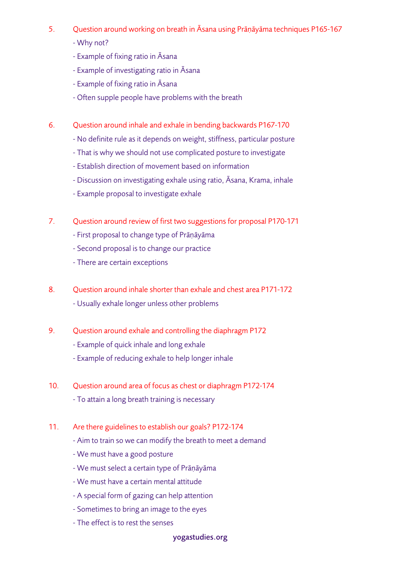- 5. Question around working on breath in Āsana using Prāṇāyāma techniques P165-167
	- Why not?
	- Example of fixing ratio in Āsana
	- Example of investigating ratio in Āsana
	- Example of fixing ratio in Āsana
	- Often supple people have problems with the breath
- 6. Question around inhale and exhale in bending backwards P167-170
	- No definite rule as it depends on weight, stiffness, particular posture
	- That is why we should not use complicated posture to investigate
	- Establish direction of movement based on information
	- Discussion on investigating exhale using ratio, Āsana, Krama, inhale
	- Example proposal to investigate exhale
- 7. Question around review of first two suggestions for proposal P170-171
	- First proposal to change type of Prāṇāyāma
	- Second proposal is to change our practice
	- There are certain exceptions
- 8. Question around inhale shorter than exhale and chest area P171-172 - Usually exhale longer unless other problems
- 9. Question around exhale and controlling the diaphragm P172
	- Example of quick inhale and long exhale
	- Example of reducing exhale to help longer inhale
- 10. Question around area of focus as chest or diaphragm P172-174 - To attain a long breath training is necessary
- 11. Are there guidelines to establish our goals? P172-174
	- Aim to train so we can modify the breath to meet a demand
	- We must have a good posture
	- We must select a certain type of Prāṇāyāma
	- We must have a certain mental attitude
	- A special form of gazing can help attention
	- Sometimes to bring an image to the eyes
	- The effect is to rest the senses

## yogastudies.org